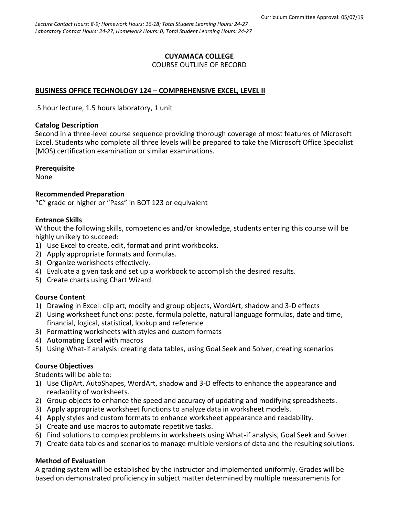### **CUYAMACA COLLEGE** COURSE OUTLINE OF RECORD

## **BUSINESS OFFICE TECHNOLOGY 124 – COMPREHENSIVE EXCEL, LEVEL II**

.5 hour lecture, 1.5 hours laboratory, 1 unit

#### **Catalog Description**

Second in a three-level course sequence providing thorough coverage of most features of Microsoft Excel. Students who complete all three levels will be prepared to take the Microsoft Office Specialist (MOS) certification examination or similar examinations.

#### **Prerequisite**

None

#### **Recommended Preparation**

"C" grade or higher or "Pass" in BOT 123 or equivalent

#### **Entrance Skills**

Without the following skills, competencies and/or knowledge, students entering this course will be highly unlikely to succeed:

- 1) Use Excel to create, edit, format and print workbooks.
- 2) Apply appropriate formats and formulas.
- 3) Organize worksheets effectively.
- 4) Evaluate a given task and set up a workbook to accomplish the desired results.
- 5) Create charts using Chart Wizard.

#### **Course Content**

- 1) Drawing in Excel: clip art, modify and group objects, WordArt, shadow and 3-D effects
- 2) Using worksheet functions: paste, formula palette, natural language formulas, date and time, financial, logical, statistical, lookup and reference
- 3) Formatting worksheets with styles and custom formats
- 4) Automating Excel with macros
- 5) Using What-if analysis: creating data tables, using Goal Seek and Solver, creating scenarios

#### **Course Objectives**

Students will be able to:

- 1) Use ClipArt, AutoShapes, WordArt, shadow and 3-D effects to enhance the appearance and readability of worksheets.
- 2) Group objects to enhance the speed and accuracy of updating and modifying spreadsheets.
- 3) Apply appropriate worksheet functions to analyze data in worksheet models.
- 4) Apply styles and custom formats to enhance worksheet appearance and readability.
- 5) Create and use macros to automate repetitive tasks.
- 6) Find solutions to complex problems in worksheets using What-if analysis, Goal Seek and Solver.
- 7) Create data tables and scenarios to manage multiple versions of data and the resulting solutions.

#### **Method of Evaluation**

A grading system will be established by the instructor and implemented uniformly. Grades will be based on demonstrated proficiency in subject matter determined by multiple measurements for